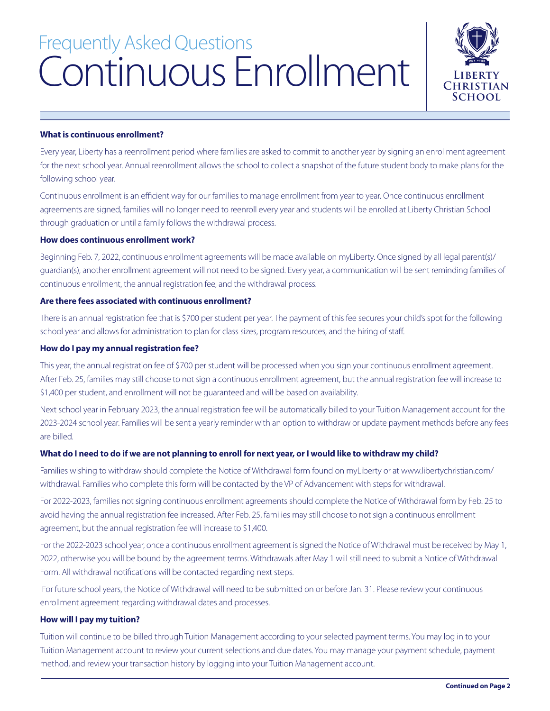# Continuous Enrollment Frequently Asked Questions



# **What is continuous enrollment?**

Every year, Liberty has a reenrollment period where families are asked to commit to another year by signing an enrollment agreement for the next school year. Annual reenrollment allows the school to collect a snapshot of the future student body to make plans for the following school year.

Continuous enrollment is an efficient way for our families to manage enrollment from year to year. Once continuous enrollment agreements are signed, families will no longer need to reenroll every year and students will be enrolled at Liberty Christian School through graduation or until a family follows the withdrawal process.

# **How does continuous enrollment work?**

Beginning Feb. 7, 2022, continuous enrollment agreements will be made available on myLiberty. Once signed by all legal parent(s)/ guardian(s), another enrollment agreement will not need to be signed. Every year, a communication will be sent reminding families of continuous enrollment, the annual registration fee, and the withdrawal process.

# **Are there fees associated with continuous enrollment?**

There is an annual registration fee that is \$700 per student per year. The payment of this fee secures your child's spot for the following school year and allows for administration to plan for class sizes, program resources, and the hiring of staff.

### **How do I pay my annual registration fee?**

This year, the annual registration fee of \$700 per student will be processed when you sign your continuous enrollment agreement. After Feb. 25, families may still choose to not sign a continuous enrollment agreement, but the annual registration fee will increase to \$1,400 per student, and enrollment will not be guaranteed and will be based on availability.

Next school year in February 2023, the annual registration fee will be automatically billed to your Tuition Management account for the 2023-2024 school year. Families will be sent a yearly reminder with an option to withdraw or update payment methods before any fees are billed.

# **What do I need to do if we are not planning to enroll for next year, or I would like to withdraw my child?**

Families wishing to withdraw should complete the Notice of Withdrawal form found on myLiberty or at www.libertychristian.com/ withdrawal. Families who complete this form will be contacted by the VP of Advancement with steps for withdrawal.

For 2022-2023, families not signing continuous enrollment agreements should complete the Notice of Withdrawal form by Feb. 25 to avoid having the annual registration fee increased. After Feb. 25, families may still choose to not sign a continuous enrollment agreement, but the annual registration fee will increase to \$1,400.

For the 2022-2023 school year, once a continuous enrollment agreement is signed the Notice of Withdrawal must be received by May 1, 2022, otherwise you will be bound by the agreement terms. Withdrawals after May 1 will still need to submit a Notice of Withdrawal Form. All withdrawal notifications will be contacted regarding next steps.

 For future school years, the Notice of Withdrawal will need to be submitted on or before Jan. 31. Please review your continuous enrollment agreement regarding withdrawal dates and processes.

# **How will I pay my tuition?**

Tuition will continue to be billed through Tuition Management according to your selected payment terms. You may log in to your Tuition Management account to review your current selections and due dates. You may manage your payment schedule, payment method, and review your transaction history by logging into your Tuition Management account.